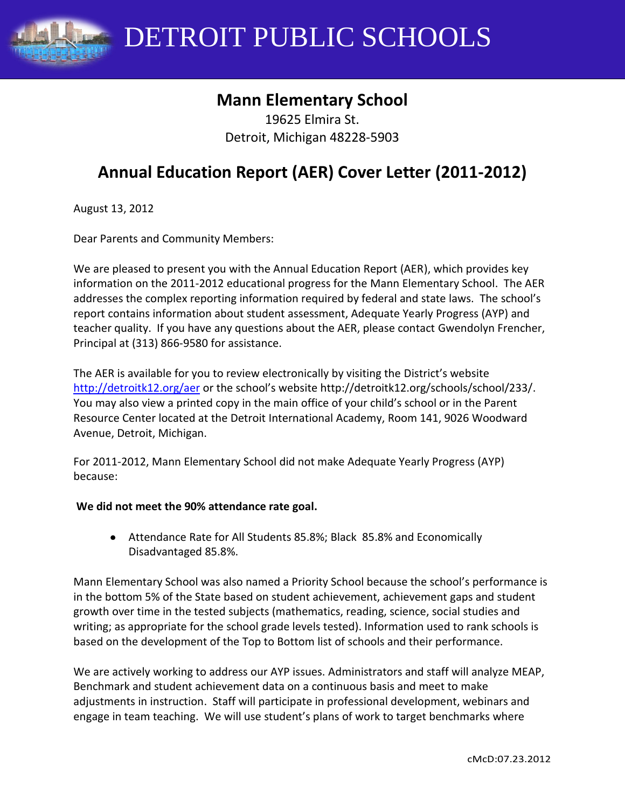DETROIT PUBLIC SCHOOLS

## **Mann Elementary School**

19625 Elmira St. Detroit, Michigan 48228-5903

# **Annual Education Report (AER) Cover Letter (2011-2012)**

August 13, 2012

Dear Parents and Community Members:

We are pleased to present you with the Annual Education Report (AER), which provides key information on the 2011-2012 educational progress for the Mann Elementary School. The AER addresses the complex reporting information required by federal and state laws. The school's report contains information about student assessment, Adequate Yearly Progress (AYP) and teacher quality. If you have any questions about the AER, please contact Gwendolyn Frencher, Principal at (313) 866-9580 for assistance.

The AER is available for you to review electronically by visiting the District's website <http://detroitk12.org/aer> or the school's website http://detroitk12.org/schools/school/233/. You may also view a printed copy in the main office of your child's school or in the Parent Resource Center located at the Detroit International Academy, Room 141, 9026 Woodward Avenue, Detroit, Michigan.

For 2011-2012, Mann Elementary School did not make Adequate Yearly Progress (AYP) because:

#### **We did not meet the 90% attendance rate goal.**

Attendance Rate for All Students 85.8%; Black 85.8% and Economically Disadvantaged 85.8%.

Mann Elementary School was also named a Priority School because the school's performance is in the bottom 5% of the State based on student achievement, achievement gaps and student growth over time in the tested subjects (mathematics, reading, science, social studies and writing; as appropriate for the school grade levels tested). Information used to rank schools is based on the development of the Top to Bottom list of schools and their performance.

We are actively working to address our AYP issues. Administrators and staff will analyze MEAP, Benchmark and student achievement data on a continuous basis and meet to make adjustments in instruction. Staff will participate in professional development, webinars and engage in team teaching. We will use student's plans of work to target benchmarks where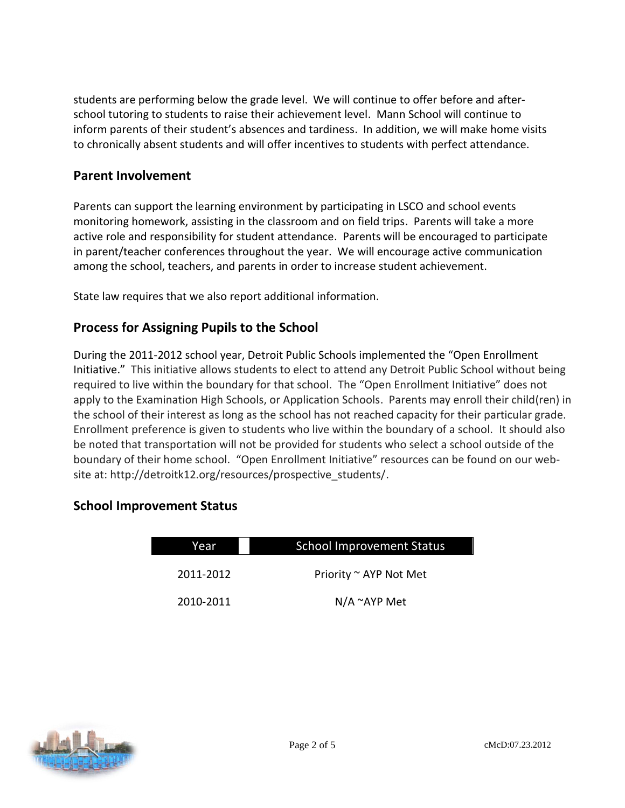students are performing below the grade level. We will continue to offer before and afterschool tutoring to students to raise their achievement level. Mann School will continue to inform parents of their student's absences and tardiness. In addition, we will make home visits to chronically absent students and will offer incentives to students with perfect attendance.

#### **Parent Involvement**

Parents can support the learning environment by participating in LSCO and school events monitoring homework, assisting in the classroom and on field trips. Parents will take a more active role and responsibility for student attendance. Parents will be encouraged to participate in parent/teacher conferences throughout the year. We will encourage active communication among the school, teachers, and parents in order to increase student achievement.

State law requires that we also report additional information.

### **Process for Assigning Pupils to the School**

During the 2011-2012 school year, Detroit Public Schools implemented the "Open Enrollment Initiative." This initiative allows students to elect to attend any Detroit Public School without being required to live within the boundary for that school. The "Open Enrollment Initiative" does not apply to the Examination High Schools, or Application Schools. Parents may enroll their child(ren) in the school of their interest as long as the school has not reached capacity for their particular grade. Enrollment preference is given to students who live within the boundary of a school. It should also be noted that transportation will not be provided for students who select a school outside of the boundary of their home school. "Open Enrollment Initiative" resources can be found on our website at: http://detroitk12.org/resources/prospective students/.

#### **School Improvement Status**

| Year      | <b>School Improvement Status</b> |  |
|-----------|----------------------------------|--|
| 2011-2012 | Priority ~ AYP Not Met           |  |
| 2010-2011 | $N/A \sim$ AYP Met               |  |

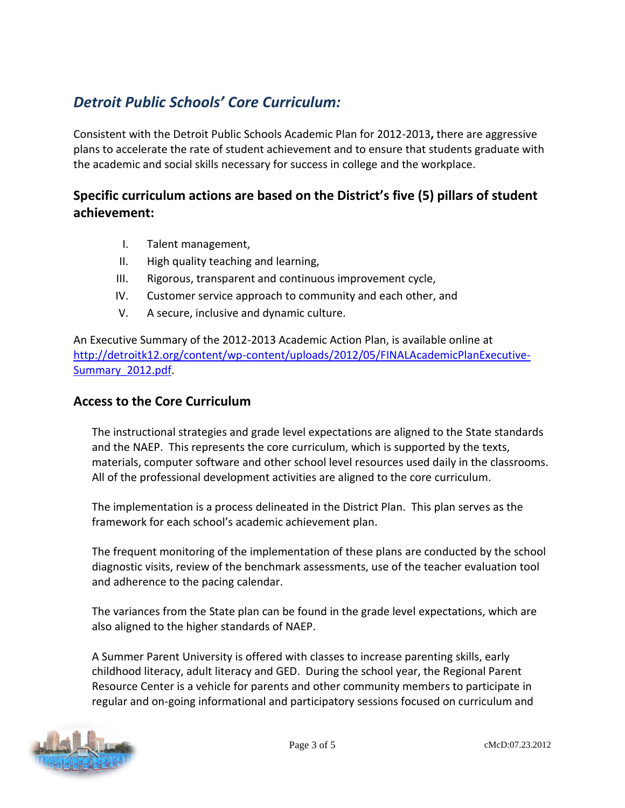# *Detroit Public Schools' Core Curriculum:*

Consistent with the Detroit Public Schools Academic Plan for 2012-2013**,** there are aggressive plans to accelerate the rate of student achievement and to ensure that students graduate with the academic and social skills necessary for success in college and the workplace.

### **Specific curriculum actions are based on the District's five (5) pillars of student achievement:**

- I. Talent management,
- II. High quality teaching and learning,
- III. Rigorous, transparent and continuous improvement cycle,
- IV. Customer service approach to community and each other, and
- V. A secure, inclusive and dynamic culture.

An Executive Summary of the 2012-2013 Academic Action Plan, is available online at [http://detroitk12.org/content/wp-content/uploads/2012/05/FINALAcademicPlanExecutive-](http://detroitk12.org/content/wp-content/uploads/2012/05/FINALAcademicPlanExecutive-Summary_2012.pdf)[Summary\\_2012.pdf](http://detroitk12.org/content/wp-content/uploads/2012/05/FINALAcademicPlanExecutive-Summary_2012.pdf).

#### **Access to the Core Curriculum**

The instructional strategies and grade level expectations are aligned to the State standards and the NAEP. This represents the core curriculum, which is supported by the texts, materials, computer software and other school level resources used daily in the classrooms. All of the professional development activities are aligned to the core curriculum.

The implementation is a process delineated in the District Plan. This plan serves as the framework for each school's academic achievement plan.

The frequent monitoring of the implementation of these plans are conducted by the school diagnostic visits, review of the benchmark assessments, use of the teacher evaluation tool and adherence to the pacing calendar.

The variances from the State plan can be found in the grade level expectations, which are also aligned to the higher standards of NAEP.

A Summer Parent University is offered with classes to increase parenting skills, early childhood literacy, adult literacy and GED. During the school year, the Regional Parent Resource Center is a vehicle for parents and other community members to participate in regular and on-going informational and participatory sessions focused on curriculum and

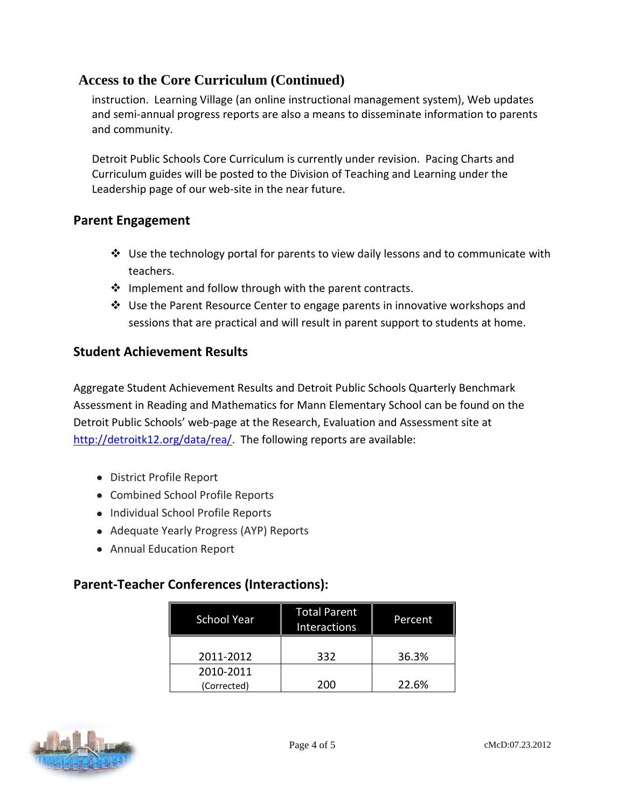### **Access to the Core Curriculum (Continued)**

instruction. Learning Village (an online instructional management system), Web updates and semi-annual progress reports are also a means to disseminate information to parents and community.

Detroit Public Schools Core Curriculum is currently under revision. Pacing Charts and Curriculum guides will be posted to the Division of Teaching and Learning under the Leadership page of our web-site in the near future.

### **Parent Engagement**

- $\cdot$  Use the technology portal for parents to view daily lessons and to communicate with teachers.
- ❖ Implement and follow through with the parent contracts.
- $\clubsuit$  Use the Parent Resource Center to engage parents in innovative workshops and sessions that are practical and will result in parent support to students at home.

### **Student Achievement Results**

Aggregate Student Achievement Results and Detroit Public Schools Quarterly Benchmark Assessment in Reading and Mathematics for Mann Elementary School can be found on the Detroit Public Schools' web-page at the Research, Evaluation and Assessment site at [http://detroitk12.org/data/rea/.](http://detroitk12.org/data/rea/) The following reports are available:

- District Profile Report
- Combined School Profile Reports
- Individual School Profile Reports
- Adequate Yearly Progress (AYP) Reports
- Annual Education Report

### **Parent-Teacher Conferences (Interactions):**

| <b>School Year</b>       | <b>Total Parent</b><br>Interactions | Percent |
|--------------------------|-------------------------------------|---------|
| 2011-2012                | 332                                 | 36.3%   |
| 2010-2011<br>(Corrected) | 200                                 | 22.6%   |